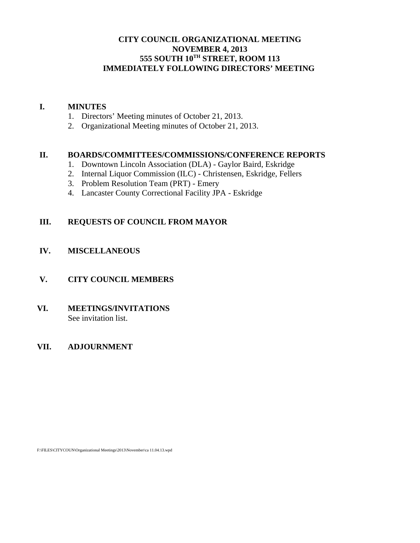## **CITY COUNCIL ORGANIZATIONAL MEETING NOVEMBER 4, 2013 555 SOUTH 10TH STREET, ROOM 113 IMMEDIATELY FOLLOWING DIRECTORS' MEETING**

#### **I. MINUTES**

- 1. Directors' Meeting minutes of October 21, 2013.
- 2. Organizational Meeting minutes of October 21, 2013.

#### **II. BOARDS/COMMITTEES/COMMISSIONS/CONFERENCE REPORTS**

- 1. Downtown Lincoln Association (DLA) Gaylor Baird, Eskridge
- 2. Internal Liquor Commission (ILC) Christensen, Eskridge, Fellers
- 3. Problem Resolution Team (PRT) Emery
- 4. Lancaster County Correctional Facility JPA Eskridge

## **III. REQUESTS OF COUNCIL FROM MAYOR**

## **IV. MISCELLANEOUS**

## **V. CITY COUNCIL MEMBERS**

**VI. MEETINGS/INVITATIONS** See invitation list.

## **VII. ADJOURNMENT**

F:\FILES\CITYCOUN\Organizational Meetings\2013\November\ca 11.04.13.wpd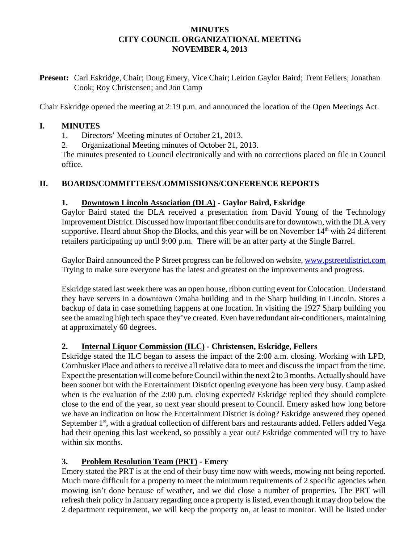#### **MINUTES CITY COUNCIL ORGANIZATIONAL MEETING NOVEMBER 4, 2013**

**Present:** Carl Eskridge, Chair; Doug Emery, Vice Chair; Leirion Gaylor Baird; Trent Fellers; Jonathan Cook; Roy Christensen; and Jon Camp

Chair Eskridge opened the meeting at 2:19 p.m. and announced the location of the Open Meetings Act.

## **I. MINUTES**

1. Directors' Meeting minutes of October 21, 2013.

2. Organizational Meeting minutes of October 21, 2013.

The minutes presented to Council electronically and with no corrections placed on file in Council office.

# **II. BOARDS/COMMITTEES/COMMISSIONS/CONFERENCE REPORTS**

## **1. Downtown Lincoln Association (DLA) - Gaylor Baird, Eskridge**

Gaylor Baird stated the DLA received a presentation from David Young of the Technology Improvement District. Discussed how important fiber conduits are for downtown, with the DLA very supportive. Heard about Shop the Blocks, and this year will be on November  $14<sup>th</sup>$  with 24 different retailers participating up until 9:00 p.m. There will be an after party at the Single Barrel.

Gaylor Baird announced the P Street progress can be followed on website, www.pstreetdistrict.com Trying to make sure everyone has the latest and greatest on the improvements and progress.

Eskridge stated last week there was an open house, ribbon cutting event for Colocation. Understand they have servers in a downtown Omaha building and in the Sharp building in Lincoln. Stores a backup of data in case something happens at one location. In visiting the 1927 Sharp building you see the amazing high tech space they've created. Even have redundant air-conditioners, maintaining at approximately 60 degrees.

# **2. Internal Liquor Commission (ILC) - Christensen, Eskridge, Fellers**

Eskridge stated the ILC began to assess the impact of the 2:00 a.m. closing. Working with LPD, Cornhusker Place and others to receive all relative data to meet and discuss the impact from the time. Expect the presentation will come before Council within the next 2 to 3 months. Actually should have been sooner but with the Entertainment District opening everyone has been very busy. Camp asked when is the evaluation of the 2:00 p.m. closing expected? Eskridge replied they should complete close to the end of the year, so next year should present to Council. Emery asked how long before we have an indication on how the Entertainment District is doing? Eskridge answered they opened September 1<sup>st</sup>, with a gradual collection of different bars and restaurants added. Fellers added Vega had their opening this last weekend, so possibly a year out? Eskridge commented will try to have within six months.

# **3. Problem Resolution Team (PRT) - Emery**

Emery stated the PRT is at the end of their busy time now with weeds, mowing not being reported. Much more difficult for a property to meet the minimum requirements of 2 specific agencies when mowing isn't done because of weather, and we did close a number of properties. The PRT will refresh their policy in January regarding once a property is listed, even though it may drop below the 2 department requirement, we will keep the property on, at least to monitor. Will be listed under